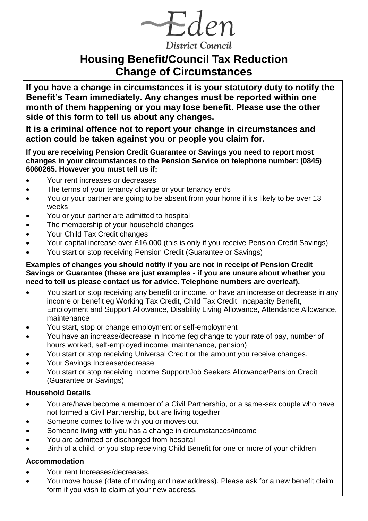$\neg$ Eden **District Council** 

# **Housing Benefit/Council Tax Reduction Change of Circumstances**

**If you have a change in circumstances it is your statutory duty to notify the Benefit's Team immediately. Any changes must be reported within one month of them happening or you may lose benefit. Please use the other side of this form to tell us about any changes.**

**It is a criminal offence not to report your change in circumstances and action could be taken against you or people you claim for.**

**If you are receiving Pension Credit Guarantee or Savings you need to report most changes in your circumstances to the Pension Service on telephone number: (0845) 6060265. However you must tell us if;**

- Your rent increases or decreases
- The terms of your tenancy change or your tenancy ends
- You or your partner are going to be absent from your home if it's likely to be over 13 weeks
- You or your partner are admitted to hospital
- The membership of your household changes
- Your Child Tax Credit changes
- Your capital increase over £16,000 (this is only if you receive Pension Credit Savings)
- You start or stop receiving Pension Credit (Guarantee or Savings)

**Examples of changes you should notify if you are not in receipt of Pension Credit Savings or Guarantee (these are just examples - if you are unsure about whether you need to tell us please contact us for advice. Telephone numbers are overleaf).**

- You start or stop receiving any benefit or income, or have an increase or decrease in any income or benefit eg Working Tax Credit, Child Tax Credit, Incapacity Benefit, Employment and Support Allowance, Disability Living Allowance, Attendance Allowance, maintenance
- You start, stop or change employment or self-employment
- You have an increase/decrease in Income (eg change to your rate of pay, number of hours worked, self-employed income, maintenance, pension)
- You start or stop receiving Universal Credit or the amount you receive changes.
- Your Savings Increase/decrease
- You start or stop receiving Income Support/Job Seekers Allowance/Pension Credit (Guarantee or Savings)

### **Household Details**

- You are/have become a member of a Civil Partnership, or a same-sex couple who have not formed a Civil Partnership, but are living together
- Someone comes to live with you or moves out
- Someone living with you has a change in circumstances/income
- You are admitted or discharged from hospital
- Birth of a child, or you stop receiving Child Benefit for one or more of your children

### **Accommodation**

- Your rent Increases/decreases.
- You move house (date of moving and new address). Please ask for a new benefit claim form if you wish to claim at your new address.